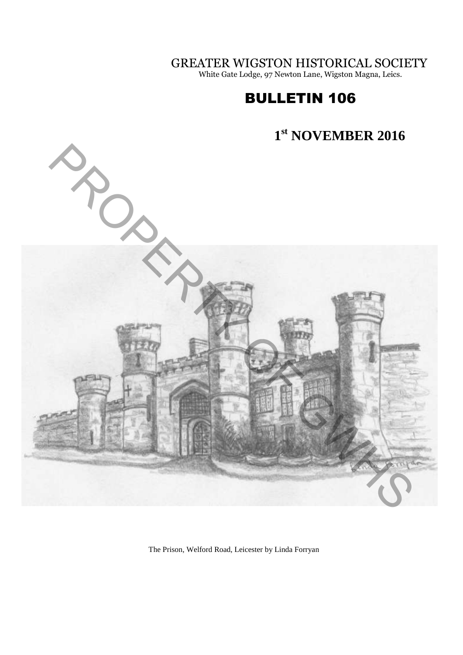GREATER WIGSTON HISTORICAL SOCIETY

White Gate Lodge, 97 Newton Lane, Wigston Magna, Leics.

# BULLETIN 106



The Prison, Welford Road, Leicester by Linda Forryan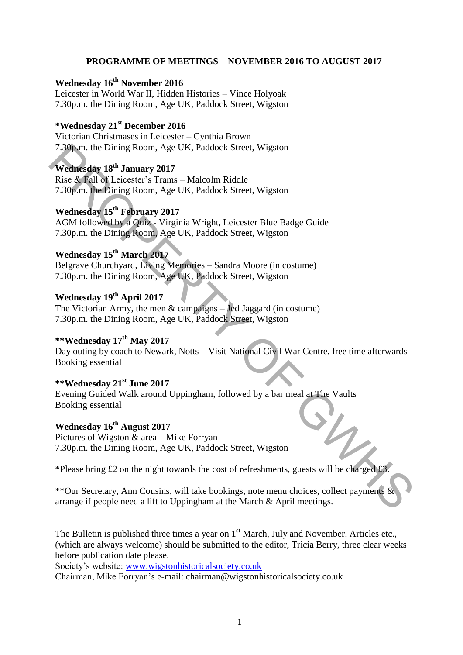#### **PROGRAMME OF MEETINGS – NOVEMBER 2016 TO AUGUST 2017**

**Wednesday 16th November 2016**  Leicester in World War II, Hidden Histories – Vince Holyoak 7.30p.m. the Dining Room, Age UK, Paddock Street, Wigston

# **\*Wednesday 21st December 2016**

Victorian Christmases in Leicester – Cynthia Brown 7.30p.m. the Dining Room, Age UK, Paddock Street, Wigston

# **Wednesday 18th January 2017**

Rise & Fall of Leicester's Trams – Malcolm Riddle 7.30p.m. the Dining Room, Age UK, Paddock Street, Wigston

## **Wednesday 15th February 2017**

AGM followed by a Quiz - Virginia Wright, Leicester Blue Badge Guide 7.30p.m. the Dining Room, Age UK, Paddock Street, Wigston

# **Wednesday 15th March 2017**

Belgrave Churchyard, Living Memories – Sandra Moore (in costume) 7.30p.m. the Dining Room, Age UK, Paddock Street, Wigston

# **Wednesday 19th April 2017**

The Victorian Army, the men  $\&$  campaigns – Jed Jaggard (in costume) 7.30p.m. the Dining Room, Age UK, Paddock Street, Wigston

# **\*\*Wednesday 17th May 2017**

Day outing by coach to Newark, Notts – Visit National Civil War Centre, free time afterwards Booking essential 7.30p.m. the Dining Room, Age UK, Paddock Street, Wigston<br>
Wednesday 18<sup>9</sup> January 2017<br>
Wednesday 18<sup>th</sup> Early and 2017<br>
Rise & fall of Leicester's Trams – Malcolm Riddle<br>
7.30p.m. the Dining Room, Age UK, Paddock Street

#### **\*\*Wednesday 21st June 2017**

Evening Guided Walk around Uppingham, followed by a bar meal at The Vaults Booking essential

# **Wednesday 16th August 2017**

Pictures of Wigston  $\&$  area – Mike Forryan 7.30p.m. the Dining Room, Age UK, Paddock Street, Wigston

\*Please bring £2 on the night towards the cost of refreshments, guests will be charged £3.

\*\*Our Secretary, Ann Cousins, will take bookings, note menu choices, collect payments & arrange if people need a lift to Uppingham at the March & April meetings.

The Bulletin is published three times a year on  $1<sup>st</sup>$  March, July and November. Articles etc., (which are always welcome) should be submitted to the editor, Tricia Berry, three clear weeks before publication date please.

Society's website: [www.wigstonhistoricalsociety.co.uk](http://www.wigstonhistoricalsociety.co.uk/)

Chairman, Mike Forryan's e-mail: chairman@wigstonhistoricalsociety.co.uk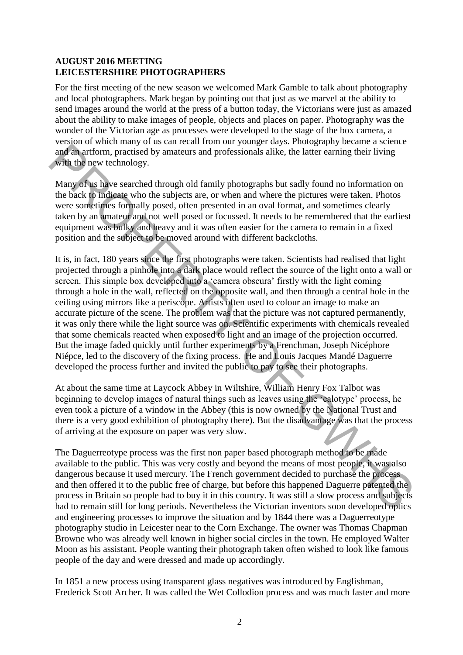#### **AUGUST 2016 MEETING LEICESTERSHIRE PHOTOGRAPHERS**

For the first meeting of the new season we welcomed Mark Gamble to talk about photography and local photographers. Mark began by pointing out that just as we marvel at the ability to send images around the world at the press of a button today, the Victorians were just as amazed about the ability to make images of people, objects and places on paper. Photography was the wonder of the Victorian age as processes were developed to the stage of the box camera, a version of which many of us can recall from our younger days. Photography became a science and an artform, practised by amateurs and professionals alike, the latter earning their living with the new technology.

Many of us have searched through old family photographs but sadly found no information on the back to indicate who the subjects are, or when and where the pictures were taken. Photos were sometimes formally posed, often presented in an oval format, and sometimes clearly taken by an amateur and not well posed or focussed. It needs to be remembered that the earliest equipment was bulky and heavy and it was often easier for the camera to remain in a fixed position and the subject to be moved around with different backcloths.

It is, in fact, 180 years since the first photographs were taken. Scientists had realised that light projected through a pinhole into a dark place would reflect the source of the light onto a wall or screen. This simple box developed into a 'camera obscura' firstly with the light coming through a hole in the wall, reflected on the opposite wall, and then through a central hole in the ceiling using mirrors like a periscope. Artists often used to colour an image to make an accurate picture of the scene. The problem was that the picture was not captured permanently, it was only there while the light source was on. Scientific experiments with chemicals revealed that some chemicals reacted when exposed to light and an image of the projection occurred. But the image faded quickly until further experiments by a Frenchman, Joseph Nicéphore Niépce, led to the discovery of the fixing process. He and Louis Jacques Mandé Daguerre developed the process further and invited the public to pay to see their photographs. and an arthom, practised by anneuras and professionals alike, the latter earning their living<br>and an arthom, practised by anneuras and professionals alike, the latter earning their living<br>with the new technology.<br>Whit the

At about the same time at Laycock Abbey in Wiltshire, William Henry Fox Talbot was beginning to develop images of natural things such as leaves using the 'calotype' process, he even took a picture of a window in the Abbey (this is now owned by the National Trust and there is a very good exhibition of photography there). But the disadvantage was that the process of arriving at the exposure on paper was very slow.

The Daguerreotype process was the first non paper based photograph method to be made available to the public. This was very costly and beyond the means of most people, it was also dangerous because it used mercury. The French government decided to purchase the process and then offered it to the public free of charge, but before this happened Daguerre patented the process in Britain so people had to buy it in this country. It was still a slow process and subjects had to remain still for long periods. Nevertheless the Victorian inventors soon developed optics and engineering processes to improve the situation and by 1844 there was a Daguerreotype photography studio in Leicester near to the Corn Exchange. The owner was Thomas Chapman Browne who was already well known in higher social circles in the town. He employed Walter Moon as his assistant. People wanting their photograph taken often wished to look like famous people of the day and were dressed and made up accordingly.

In 1851 a new process using transparent glass negatives was introduced by Englishman, Frederick Scott Archer. It was called the Wet Collodion process and was much faster and more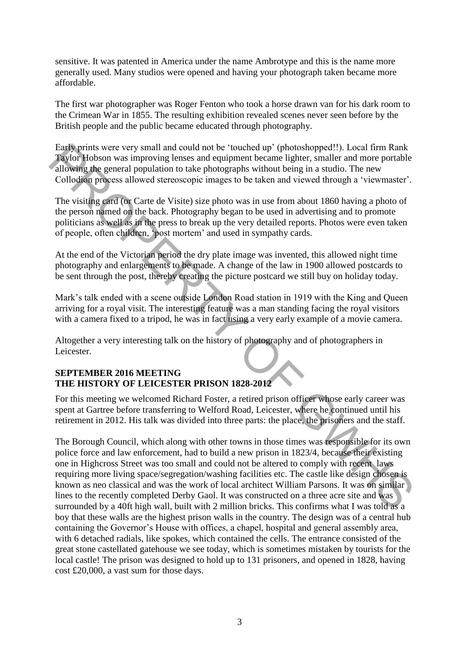sensitive. It was patented in America under the name Ambrotype and this is the name more generally used. Many studios were opened and having your photograph taken became more affordable.

The first war photographer was Roger Fenton who took a horse drawn van for his dark room to the Crimean War in 1855. The resulting exhibition revealed scenes never seen before by the British people and the public became educated through photography.

Early prints were very small and could not be 'touched up' (photoshopped!!). Local firm Rank Taylor Hobson was improving lenses and equipment became lighter, smaller and more portable allowing the general population to take photographs without being in a studio. The new Collodion process allowed stereoscopic images to be taken and viewed through a 'viewmaster'.

The visiting card (or Carte de Visite) size photo was in use from about 1860 having a photo of the person named on the back. Photography began to be used in advertising and to promote politicians as well as in the press to break up the very detailed reports. Photos were even taken of people, often children, 'post mortem' and used in sympathy cards.

At the end of the Victorian period the dry plate image was invented, this allowed night time photography and enlargements to be made. A change of the law in 1900 allowed postcards to be sent through the post, thereby creating the picture postcard we still buy on holiday today.

Mark's talk ended with a scene outside London Road station in 1919 with the King and Queen arriving for a royal visit. The interesting feature was a man standing facing the royal visitors with a camera fixed to a tripod, he was in fact using a very early example of a movie camera.

Altogether a very interesting talk on the history of photography and of photographers in Leicester.

#### **SEPTEMBER 2016 MEETING THE HISTORY OF LEICESTER PRISON 1828-2012**

For this meeting we welcomed Richard Foster, a retired prison officer whose early career was spent at Gartree before transferring to Welford Road, Leicester, where he continued until his retirement in 2012. His talk was divided into three parts: the place, the prisoners and the staff.

The Borough Council, which along with other towns in those times was responsible for its own police force and law enforcement, had to build a new prison in 1823/4, because their existing one in Highcross Street was too small and could not be altered to comply with recent laws requiring more living space/segregation/washing facilities etc. The castle like design chosen is known as neo classical and was the work of local architect William Parsons. It was on similar lines to the recently completed Derby Gaol. It was constructed on a three acre site and was surrounded by a 40ft high wall, built with 2 million bricks. This confirms what I was told as a boy that these walls are the highest prison walls in the country. The design was of a central hub containing the Governor's House with offices, a chapel, hospital and general assembly area, with 6 detached radials, like spokes, which contained the cells. The entrance consisted of the great stone castellated gatehouse we see today, which is sometimes mistaken by tourists for the local castle! The prison was designed to hold up to 131 prisoners, and opened in 1828, having cost £20,000, a vast sum for those days. East prims were very small and could not be 'tootedrop' (photoshope)ell). Local firm Ramk Taylor Hobson was improving lenses and equipment became lighter, smaller and more portable allowing the general population to take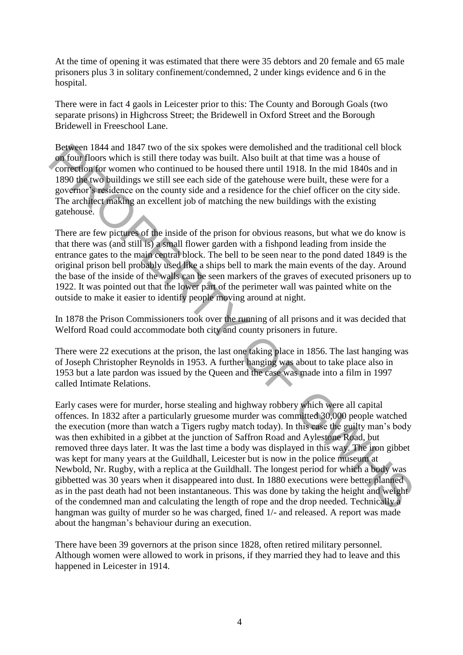At the time of opening it was estimated that there were 35 debtors and 20 female and 65 male prisoners plus 3 in solitary confinement/condemned, 2 under kings evidence and 6 in the hospital.

There were in fact 4 gaols in Leicester prior to this: The County and Borough Goals (two separate prisons) in Highcross Street; the Bridewell in Oxford Street and the Borough Bridewell in Freeschool Lane.

Between 1844 and 1847 two of the six spokes were demolished and the traditional cell block on four floors which is still there today was built. Also built at that time was a house of correction for women who continued to be housed there until 1918. In the mid 1840s and in 1890 the two buildings we still see each side of the gatehouse were built, these were for a governor's residence on the county side and a residence for the chief officer on the city side. The architect making an excellent job of matching the new buildings with the existing gatehouse.

There are few pictures of the inside of the prison for obvious reasons, but what we do know is that there was (and still is) a small flower garden with a fishpond leading from inside the entrance gates to the main central block. The bell to be seen near to the pond dated 1849 is the original prison bell probably used like a ships bell to mark the main events of the day. Around the base of the inside of the walls can be seen markers of the graves of executed prisoners up to 1922. It was pointed out that the lower part of the perimeter wall was painted white on the outside to make it easier to identify people moving around at night.

In 1878 the Prison Commissioners took over the running of all prisons and it was decided that Welford Road could accommodate both city and county prisoners in future.

There were 22 executions at the prison, the last one taking place in 1856. The last hanging was of Joseph Christopher Reynolds in 1953. A further hanging was about to take place also in 1953 but a late pardon was issued by the Queen and the case was made into a film in 1997 called Intimate Relations.

Early cases were for murder, horse stealing and highway robbery which were all capital offences. In 1832 after a particularly gruesome murder was committed 30,000 people watched the execution (more than watch a Tigers rugby match today). In this case the guilty man's body was then exhibited in a gibbet at the junction of Saffron Road and Aylestone Road, but removed three days later. It was the last time a body was displayed in this way. The iron gibbet was kept for many years at the Guildhall, Leicester but is now in the police museum at Newbold, Nr. Rugby, with a replica at the Guildhall. The longest period for which a body was gibbetted was 30 years when it disappeared into dust. In 1880 executions were better planned as in the past death had not been instantaneous. This was done by taking the height and weight of the condemned man and calculating the length of rope and the drop needed. Technically a hangman was guilty of murder so he was charged, fined 1/- and released. A report was made about the hangman's behaviour during an execution. Beyove an 1844 and 1847 two of the six spokes were demolished and the traditional cell block<br>of the condensity and the spokes with Also built at that time was a buses of<br>correction for women who contarely ob boused three

There have been 39 governors at the prison since 1828, often retired military personnel. Although women were allowed to work in prisons, if they married they had to leave and this happened in Leicester in 1914.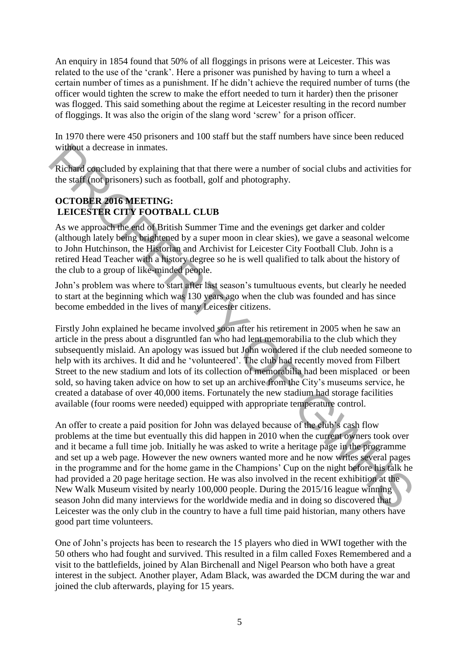An enquiry in 1854 found that 50% of all floggings in prisons were at Leicester. This was related to the use of the 'crank'. Here a prisoner was punished by having to turn a wheel a certain number of times as a punishment. If he didn't achieve the required number of turns (the officer would tighten the screw to make the effort needed to turn it harder) then the prisoner was flogged. This said something about the regime at Leicester resulting in the record number of floggings. It was also the origin of the slang word 'screw' for a prison officer.

In 1970 there were 450 prisoners and 100 staff but the staff numbers have since been reduced without a decrease in inmates.

Richard concluded by explaining that that there were a number of social clubs and activities for the staff (not prisoners) such as football, golf and photography.

## **OCTOBER 2016 MEETING: LEICESTER CITY FOOTBALL CLUB**

As we approach the end of British Summer Time and the evenings get darker and colder (although lately being brightened by a super moon in clear skies), we gave a seasonal welcome to John Hutchinson, the Historian and Archivist for Leicester City Football Club. John is a retired Head Teacher with a history degree so he is well qualified to talk about the history of the club to a group of like-minded people.

John's problem was where to start after last season's tumultuous events, but clearly he needed to start at the beginning which was 130 years ago when the club was founded and has since become embedded in the lives of many Leicester citizens.

Firstly John explained he became involved soon after his retirement in 2005 when he saw an article in the press about a disgruntled fan who had lent memorabilia to the club which they subsequently mislaid. An apology was issued but John wondered if the club needed someone to help with its archives. It did and he 'volunteered'. The club had recently moved from Filbert Street to the new stadium and lots of its collection of memorabilia had been misplaced or been sold, so having taken advice on how to set up an archive from the City's museums service, he created a database of over 40,000 items. Fortunately the new stadium had storage facilities available (four rooms were needed) equipped with appropriate temperature control.

An offer to create a paid position for John was delayed because of the club's cash flow problems at the time but eventually this did happen in 2010 when the current owners took over and it became a full time job. Initially he was asked to write a heritage page in the programme and set up a web page. However the new owners wanted more and he now writes several pages in the programme and for the home game in the Champions' Cup on the night before his talk he had provided a 20 page heritage section. He was also involved in the recent exhibition at the New Walk Museum visited by nearly 100,000 people. During the 2015/16 league winning season John did many interviews for the worldwide media and in doing so discovered that Leicester was the only club in the country to have a full time paid historian, many others have good part time volunteers. without a decrease in immates.<br>
Richard concluded by explaining that that there were a number of social clubs and activities for<br>
the staff (and priorients) such as football, golf and photography.<br>
DECESSTER CITY FOOTBALL

One of John's projects has been to research the 15 players who died in WWI together with the 50 others who had fought and survived. This resulted in a film called Foxes Remembered and a visit to the battlefields, joined by Alan Birchenall and Nigel Pearson who both have a great interest in the subject. Another player, Adam Black, was awarded the DCM during the war and joined the club afterwards, playing for 15 years.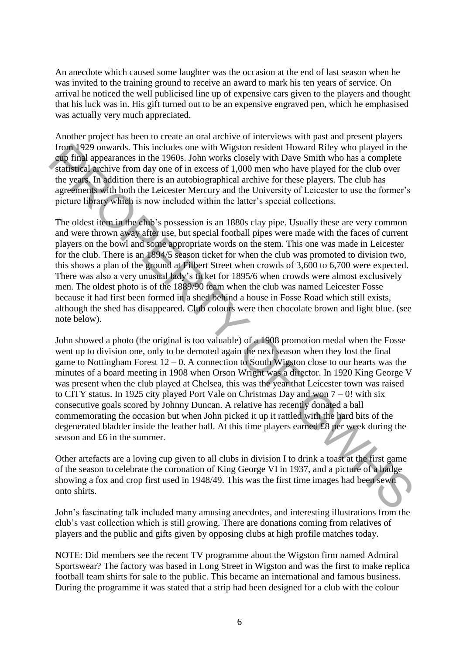An anecdote which caused some laughter was the occasion at the end of last season when he was invited to the training ground to receive an award to mark his ten years of service. On arrival he noticed the well publicised line up of expensive cars given to the players and thought that his luck was in. His gift turned out to be an expensive engraved pen, which he emphasised was actually very much appreciated.

Another project has been to create an oral archive of interviews with past and present players from 1929 onwards. This includes one with Wigston resident Howard Riley who played in the cup final appearances in the 1960s. John works closely with Dave Smith who has a complete statistical archive from day one of in excess of 1,000 men who have played for the club over the years. In addition there is an autobiographical archive for these players. The club has agreements with both the Leicester Mercury and the University of Leicester to use the former's picture library which is now included within the latter's special collections.

The oldest item in the club's possession is an 1880s clay pipe. Usually these are very common and were thrown away after use, but special football pipes were made with the faces of current players on the bowl and some appropriate words on the stem. This one was made in Leicester for the club. There is an 1894/5 season ticket for when the club was promoted to division two, this shows a plan of the ground at Filbert Street when crowds of 3,600 to 6,700 were expected. There was also a very unusual lady's ticket for 1895/6 when crowds were almost exclusively men. The oldest photo is of the 1889/90 team when the club was named Leicester Fosse because it had first been formed in a shed behind a house in Fosse Road which still exists, although the shed has disappeared. Club colours were then chocolate brown and light blue. (see note below).

John showed a photo (the original is too valuable) of a 1908 promotion medal when the Fosse went up to division one, only to be demoted again the next season when they lost the final game to Nottingham Forest  $12 - 0$ . A connection to South Wigston close to our hearts was the minutes of a board meeting in 1908 when Orson Wright was a director. In 1920 King George V was present when the club played at Chelsea, this was the year that Leicester town was raised to CITY status. In 1925 city played Port Vale on Christmas Day and won  $7 - 0!$  with six consecutive goals scored by Johnny Duncan. A relative has recently donated a ball commemorating the occasion but when John picked it up it rattled with the hard bits of the degenerated bladder inside the leather ball. At this time players earned £8 per week during the season and £6 in the summer. From 1929 onwards. This includes one with Wigston resident Howard Riley who played in the season of the statistical active statistical active statistical active statistical active statistical active statistical active fro

Other artefacts are a loving cup given to all clubs in division I to drink a toast at the first game of the season to celebrate the coronation of King George VI in 1937, and a picture of a badge showing a fox and crop first used in 1948/49. This was the first time images had been sewn onto shirts.

John's fascinating talk included many amusing anecdotes, and interesting illustrations from the club's vast collection which is still growing. There are donations coming from relatives of players and the public and gifts given by opposing clubs at high profile matches today.

NOTE: Did members see the recent TV programme about the Wigston firm named Admiral Sportswear? The factory was based in Long Street in Wigston and was the first to make replica football team shirts for sale to the public. This became an international and famous business. During the programme it was stated that a strip had been designed for a club with the colour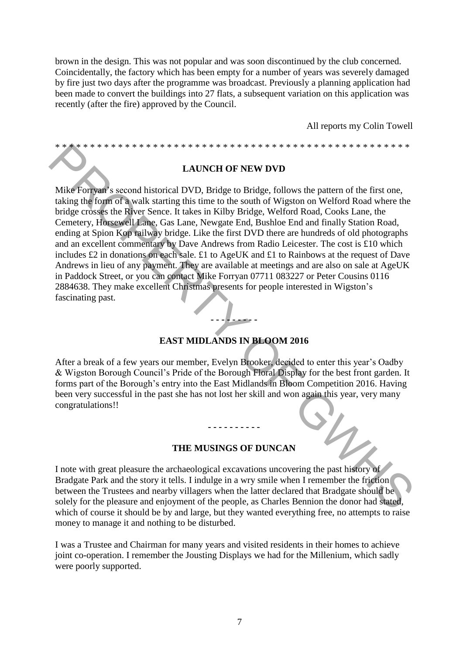brown in the design. This was not popular and was soon discontinued by the club concerned. Coincidentally, the factory which has been empty for a number of years was severely damaged by fire just two days after the programme was broadcast. Previously a planning application had been made to convert the buildings into 27 flats, a subsequent variation on this application was recently (after the fire) approved by the Council.

All reports my Colin Towell

**LAUNCH OF NEW DVD** 

\* \* \* \* \* \* \* \* \* \* \* \* \* \* \* \* \* \* \* \* \* \* \* \* \* \* \* \* \* \* \* \* \* \* \* \* \* \* \* \* \* \* \* \* \* \* \* \* \* \* \*

Mike Forryan's second historical DVD, Bridge to Bridge, follows the pattern of the first one, taking the form of a walk starting this time to the south of Wigston on Welford Road where the bridge crosses the River Sence. It takes in Kilby Bridge, Welford Road, Cooks Lane, the Cemetery, Horsewell Lane, Gas Lane, Newgate End, Bushloe End and finally Station Road, ending at Spion Kop railway bridge. Like the first DVD there are hundreds of old photographs and an excellent commentary by Dave Andrews from Radio Leicester. The cost is £10 which includes £2 in donations on each sale. £1 to AgeUK and £1 to Rainbows at the request of Dave Andrews in lieu of any payment. They are available at meetings and are also on sale at AgeUK in Paddock Street, or you can contact Mike Forryan 07711 083227 or Peter Cousins 0116 2884638. They make excellent Christmas presents for people interested in Wigston's fascinating past. **EXERCISE AND ALLERT ACTS AND ANOTHOLOGY CONSULT AND SERVIDE CONSULT AND SERVIDE AREA WELFARM IN THE MUSINGS OF DUNCAN SERVIDE AREA THE MUSINGS OF DUNCAN SERVIDE AREA (SACT ALLERT AND MUSING THE MUSING STATE AND MUSING TH** 

# **EAST MIDLANDS IN BLOOM 2016**

**- - - - - - - - -**

After a break of a few years our member, Evelyn Brooker, decided to enter this year's Oadby & Wigston Borough Council's Pride of the Borough Floral Display for the best front garden. It forms part of the Borough's entry into the East Midlands in Bloom Competition 2016. Having been very successful in the past she has not lost her skill and won again this year, very many congratulations!!

#### **THE MUSINGS OF DUNCAN**

**- - - - - - - - - -** 

I note with great pleasure the archaeological excavations uncovering the past history of Bradgate Park and the story it tells. I indulge in a wry smile when I remember the friction between the Trustees and nearby villagers when the latter declared that Bradgate should be solely for the pleasure and enjoyment of the people, as Charles Bennion the donor had stated, which of course it should be by and large, but they wanted everything free, no attempts to raise money to manage it and nothing to be disturbed.

I was a Trustee and Chairman for many years and visited residents in their homes to achieve joint co-operation. I remember the Jousting Displays we had for the Millenium, which sadly were poorly supported.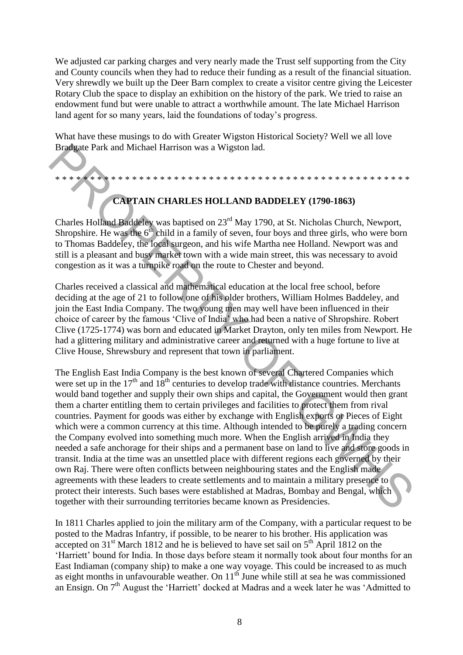We adjusted car parking charges and very nearly made the Trust self supporting from the City and County councils when they had to reduce their funding as a result of the financial situation. Very shrewdly we built up the Deer Barn complex to create a visitor centre giving the Leicester Rotary Club the space to display an exhibition on the history of the park. We tried to raise an endowment fund but were unable to attract a worthwhile amount. The late Michael Harrison land agent for so many years, laid the foundations of today's progress.

What have these musings to do with Greater Wigston Historical Society? Well we all love Bradgate Park and Michael Harrison was a Wigston lad.

\* \* \* \* \* \* \* \* \* \* \* \* \* \* \* \* \* \* \* \* \* \* \* \* \* \* \* \* \* \* \* \* \* \* \* \* \* \* \* \* \* \* \* \* \* \* \* \* \* \* \*

# **CAPTAIN CHARLES HOLLAND BADDELEY (1790-1863)**

Charles Holland Baddeley was baptised on 23rd May 1790, at St. Nicholas Church, Newport, Shropshire. He was the  $6<sup>th</sup>$  child in a family of seven, four boys and three girls, who were born to Thomas Baddeley, the local surgeon, and his wife Martha nee Holland. Newport was and still is a pleasant and busy market town with a wide main street, this was necessary to avoid congestion as it was a turnpike road on the route to Chester and beyond.

Charles received a classical and mathematical education at the local free school, before deciding at the age of 21 to follow one of his older brothers, William Holmes Baddeley, and join the East India Company. The two young men may well have been influenced in their choice of career by the famous 'Clive of India' who had been a native of Shropshire. Robert Clive (1725-1774) was born and educated in Market Drayton, only ten miles from Newport. He had a glittering military and administrative career and returned with a huge fortune to live at Clive House, Shrewsbury and represent that town in parliament.

The English East India Company is the best known of several Chartered Companies which were set up in the  $17<sup>th</sup>$  and  $18<sup>th</sup>$  centuries to develop trade with distance countries. Merchants would band together and supply their own ships and capital, the Government would then grant them a charter entitling them to certain privileges and facilities to protect them from rival countries. Payment for goods was either by exchange with English exports or Pieces of Eight which were a common currency at this time. Although intended to be purely a trading concern the Company evolved into something much more. When the English arrived in India they needed a safe anchorage for their ships and a permanent base on land to live and store goods in transit. India at the time was an unsettled place with different regions each governed by their own Raj. There were often conflicts between neighbouring states and the English made agreements with these leaders to create settlements and to maintain a military presence to protect their interests. Such bases were established at Madras, Bombay and Bengal, which together with their surrounding territories became known as Presidencies. **Bradeate Park and Michael Harrison was a Wigston lad.**<br> **Example 10. CAPTAIN CHARLES HOLLAND BADDELEY (1790-1863)**<br>
Charles Holdni Haddeley, ubs hoptised on  $23^{\text{th}}$  May 1790, at SK: Nicholas Church, Newport, Shropsh

In 1811 Charles applied to join the military arm of the Company, with a particular request to be posted to the Madras Infantry, if possible, to be nearer to his brother. His application was accepted on  $31<sup>st</sup>$  March 1812 and he is believed to have set sail on  $5<sup>th</sup>$  April 1812 on the 'Harriett' bound for India. In those days before steam it normally took about four months for an East Indiaman (company ship) to make a one way voyage. This could be increased to as much as eight months in unfavourable weather. On  $11<sup>th</sup>$  June while still at sea he was commissioned an Ensign. On 7<sup>th</sup> August the 'Harriett' docked at Madras and a week later he was 'Admitted to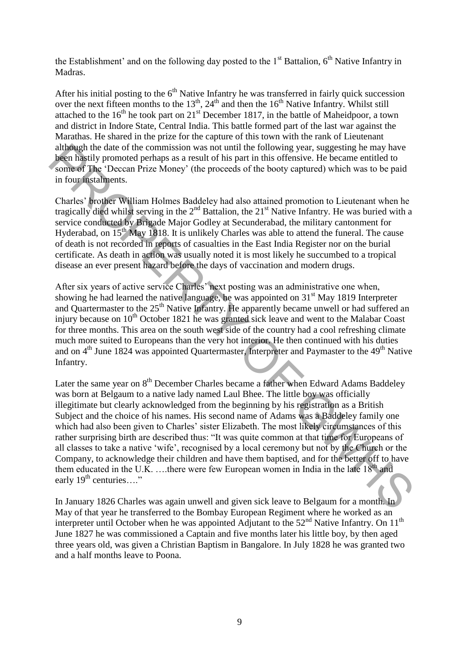the Establishment' and on the following day posted to the  $1<sup>st</sup>$  Battalion,  $6<sup>th</sup>$  Native Infantry in Madras.

After his initial posting to the  $6<sup>th</sup>$  Native Infantry he was transferred in fairly quick succession over the next fifteen months to the  $13<sup>th</sup>$ ,  $24<sup>th</sup>$  and then the  $16<sup>th</sup>$  Native Infantry. Whilst still attached to the  $16<sup>th</sup>$  he took part on  $21<sup>st</sup>$  December 1817, in the battle of Maheidpoor, a town and district in Indore State, Central India. This battle formed part of the last war against the Marathas. He shared in the prize for the capture of this town with the rank of Lieutenant although the date of the commission was not until the following year, suggesting he may have been hastily promoted perhaps as a result of his part in this offensive. He became entitled to some of The 'Deccan Prize Money' (the proceeds of the booty captured) which was to be paid in four instalments.

Charles' brother William Holmes Baddeley had also attained promotion to Lieutenant when he tragically died whilst serving in the  $2<sup>nd</sup>$  Battalion, the  $21<sup>st</sup>$  Native Infantry. He was buried with a service conducted by Brigade Major Godley at Secunderabad, the military cantonment for Hyderabad, on  $15<sup>th</sup>$  May 1818. It is unlikely Charles was able to attend the funeral. The cause of death is not recorded in reports of casualties in the East India Register nor on the burial certificate. As death in action was usually noted it is most likely he succumbed to a tropical disease an ever present hazard before the days of vaccination and modern drugs.

After six years of active service Charles' next posting was an administrative one when, showing he had learned the native language, he was appointed on  $31<sup>st</sup>$  May 1819 Interpreter and Quartermaster to the 25<sup>th</sup> Native Infantry. He apparently became unwell or had suffered an injury because on  $10<sup>th</sup>$  October 1821 he was granted sick leave and went to the Malabar Coast for three months. This area on the south west side of the country had a cool refreshing climate much more suited to Europeans than the very hot interior. He then continued with his duties and on  $4<sup>th</sup>$  June 1824 was appointed Quartermaster, Interpreter and Paymaster to the  $49<sup>th</sup>$  Native Infantry.

Later the same year on  $8<sup>th</sup>$  December Charles became a father when Edward Adams Baddeley was born at Belgaum to a native lady named Laul Bhee. The little boy was officially illegitimate but clearly acknowledged from the beginning by his registration as a British Subject and the choice of his names. His second name of Adams was a Baddeley family one which had also been given to Charles' sister Elizabeth. The most likely circumstances of this rather surprising birth are described thus: "It was quite common at that time for Europeans of all classes to take a native 'wife', recognised by a local ceremony but not by the Church or the Company, to acknowledge their children and have them baptised, and for the better off to have them educated in the U.K. ….there were few European women in India in the late  $18<sup>th</sup>$  and early  $19^{th}$  centuries...." adigoigh the date of the commission was not until the following year, suggesting he may have been hastily promoted perhaps as a result of his part in this offersive. He became entitled to some of The 'Deceam Prize Money'

In January 1826 Charles was again unwell and given sick leave to Belgaum for a month. In May of that year he transferred to the Bombay European Regiment where he worked as an interpreter until October when he was appointed Adjutant to the  $52<sup>nd</sup>$  Native Infantry. On 11<sup>th</sup> June 1827 he was commissioned a Captain and five months later his little boy, by then aged three years old, was given a Christian Baptism in Bangalore. In July 1828 he was granted two and a half months leave to Poona.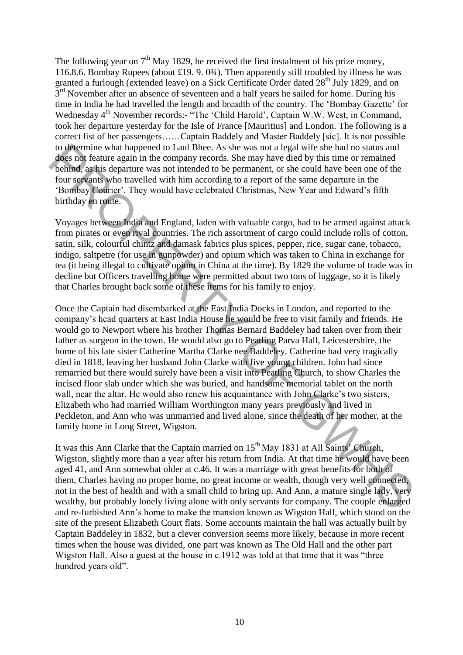The following year on  $7<sup>th</sup>$  May 1829, he received the first instalment of his prize money, 116.8.6. Bombay Rupees (about £19. 9. 0<sup>3</sup>/<sub>4</sub>). Then apparently still troubled by illness he was granted a furlough (extended leave) on a Sick Certificate Order dated  $28<sup>th</sup>$  July 1829, and on 3<sup>rd</sup> November after an absence of seventeen and a half years he sailed for home. During his time in India he had travelled the length and breadth of the country. The 'Bombay Gazette' for Wednesday 4<sup>th</sup> November records:- "The 'Child Harold', Captain W.W. West, in Command, took her departure yesterday for the Isle of France [Mauritius] and London. The following is a correct list of her passengers……Captain Baddely and Master Baddely [sic]. It is not possible to determine what happened to Laul Bhee. As she was not a legal wife she had no status and does not feature again in the company records. She may have died by this time or remained behind, as his departure was not intended to be permanent, or she could have been one of the four servants who travelled with him according to a report of the same departure in the 'Bombay Courier'. They would have celebrated Christmas, New Year and Edward's fifth birthday en route.

Voyages between India and England, laden with valuable cargo, had to be armed against attack from pirates or even rival countries. The rich assortment of cargo could include rolls of cotton, satin, silk, colourful chintz and damask fabrics plus spices, pepper, rice, sugar cane, tobacco, indigo, saltpetre (for use in gunpowder) and opium which was taken to China in exchange for tea (it being illegal to cultivate opium in China at the time). By 1829 the volume of trade was in decline but Officers travelling home were permitted about two tons of luggage, so it is likely that Charles brought back some of these items for his family to enjoy.

Once the Captain had disembarked at the East India Docks in London, and reported to the company's head quarters at East India House he would be free to visit family and friends. He would go to Newport where his brother Thomas Bernard Baddeley had taken over from their father as surgeon in the town. He would also go to Peatling Parva Hall, Leicestershire, the home of his late sister Catherine Martha Clarke nee Baddeley. Catherine had very tragically died in 1818, leaving her husband John Clarke with five young children. John had since remarried but there would surely have been a visit into Peatling Church, to show Charles the incised floor slab under which she was buried, and handsome memorial tablet on the north wall, near the altar. He would also renew his acquaintance with John Clarke's two sisters, Elizabeth who had married William Worthington many years previously and lived in Peckleton, and Ann who was unmarried and lived alone, since the death of her mother, at the family home in Long Street, Wigston. to determine what happened to Latal Bluee. As she was not a legal wire she had no status and<br>described and satisfy department and the company records. She may have died by this time or remained<br>bounded again department wa

It was this Ann Clarke that the Captain married on 15<sup>th</sup> May 1831 at All Saints' Church, Wigston, slightly more than a year after his return from India. At that time he would have been aged 41, and Ann somewhat older at c.46. It was a marriage with great benefits for both of them, Charles having no proper home, no great income or wealth, though very well connected, not in the best of health and with a small child to bring up. And Ann, a mature single lady, very wealthy, but probably lonely living alone with only servants for company. The couple enlarged and re-furbished Ann's home to make the mansion known as Wigston Hall, which stood on the site of the present Elizabeth Court flats. Some accounts maintain the hall was actually built by Captain Baddeley in 1832, but a clever conversion seems more likely, because in more recent times when the house was divided, one part was known as The Old Hall and the other part Wigston Hall. Also a guest at the house in c.1912 was told at that time that it was "three hundred years old".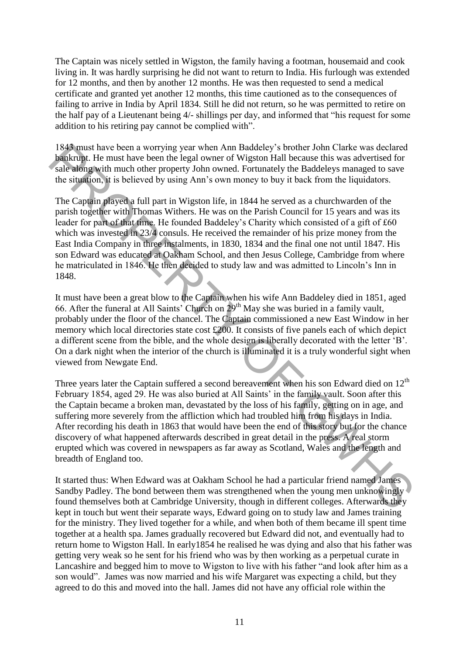The Captain was nicely settled in Wigston, the family having a footman, housemaid and cook living in. It was hardly surprising he did not want to return to India. His furlough was extended for 12 months, and then by another 12 months. He was then requested to send a medical certificate and granted yet another 12 months, this time cautioned as to the consequences of failing to arrive in India by April 1834. Still he did not return, so he was permitted to retire on the half pay of a Lieutenant being 4/- shillings per day, and informed that "his request for some addition to his retiring pay cannot be complied with".

1843 must have been a worrying year when Ann Baddeley's brother John Clarke was declared bankrupt. He must have been the legal owner of Wigston Hall because this was advertised for sale along with much other property John owned. Fortunately the Baddeleys managed to save the situation, it is believed by using Ann's own money to buy it back from the liquidators.

The Captain played a full part in Wigston life, in 1844 he served as a churchwarden of the parish together with Thomas Withers. He was on the Parish Council for 15 years and was its leader for part of that time. He founded Baddeley's Charity which consisted of a gift of £60 which was invested in 23/4 consuls. He received the remainder of his prize money from the East India Company in three instalments, in 1830, 1834 and the final one not until 1847. His son Edward was educated at Oakham School, and then Jesus College, Cambridge from where he matriculated in 1846. He then decided to study law and was admitted to Lincoln's Inn in 1848.

It must have been a great blow to the Captain when his wife Ann Baddeley died in 1851, aged 66. After the funeral at All Saints' Church on 29th May she was buried in a family vault, probably under the floor of the chancel. The Captain commissioned a new East Window in her memory which local directories state cost £200. It consists of five panels each of which depict a different scene from the bible, and the whole design is liberally decorated with the letter 'B'. On a dark night when the interior of the church is illuminated it is a truly wonderful sight when viewed from Newgate End.

Three years later the Captain suffered a second bereavement when his son Edward died on  $12<sup>th</sup>$ February 1854, aged 29. He was also buried at All Saints' in the family vault. Soon after this the Captain became a broken man, devastated by the loss of his family, getting on in age, and suffering more severely from the affliction which had troubled him from his days in India. After recording his death in 1863 that would have been the end of this story but for the chance discovery of what happened afterwards described in great detail in the press. A real storm erupted which was covered in newspapers as far away as Scotland, Wales and the length and breadth of England too. 1843<br>
and have been a worrying year when Ann Baddeley's brother bohn Clarke was declared<br>
bunken Bunk was declared by summarized by the must have been the regard owner of Wigston Hall because this was advertised for<br>
sub-

It started thus: When Edward was at Oakham School he had a particular friend named James Sandby Padley. The bond between them was strengthened when the young men unknowingly found themselves both at Cambridge University, though in different colleges. Afterwards they kept in touch but went their separate ways, Edward going on to study law and James training for the ministry. They lived together for a while, and when both of them became ill spent time together at a health spa. James gradually recovered but Edward did not, and eventually had to return home to Wigston Hall. In early1854 he realised he was dying and also that his father was getting very weak so he sent for his friend who was by then working as a perpetual curate in Lancashire and begged him to move to Wigston to live with his father "and look after him as a son would". James was now married and his wife Margaret was expecting a child, but they agreed to do this and moved into the hall. James did not have any official role within the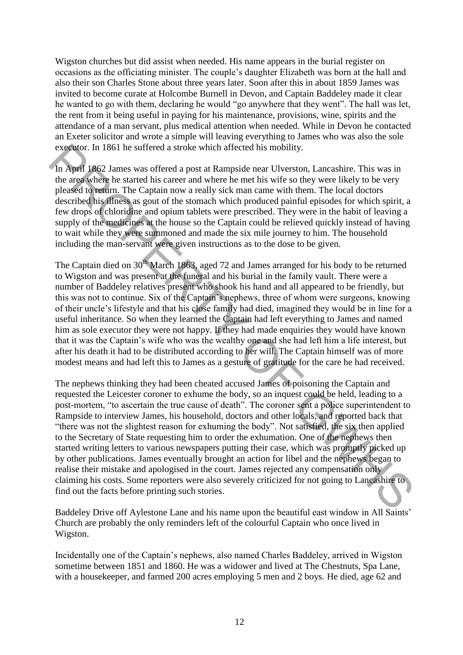Wigston churches but did assist when needed. His name appears in the burial register on occasions as the officiating minister. The couple's daughter Elizabeth was born at the hall and also their son Charles Stone about three years later. Soon after this in about 1859 James was invited to become curate at Holcombe Burnell in Devon, and Captain Baddeley made it clear he wanted to go with them, declaring he would "go anywhere that they went". The hall was let, the rent from it being useful in paying for his maintenance, provisions, wine, spirits and the attendance of a man servant, plus medical attention when needed. While in Devon he contacted an Exeter solicitor and wrote a simple will leaving everything to James who was also the sole executor. In 1861 he suffered a stroke which affected his mobility.

In April 1862 James was offered a post at Rampside near Ulverston, Lancashire. This was in the area where he started his career and where he met his wife so they were likely to be very pleased to return. The Captain now a really sick man came with them. The local doctors described his illness as gout of the stomach which produced painful episodes for which spirit, a few drops of chloridine and opium tablets were prescribed. They were in the habit of leaving a supply of the medicines at the house so the Captain could be relieved quickly instead of having to wait while they were summoned and made the six mile journey to him. The household including the man-servant were given instructions as to the dose to be given.

The Captain died on 30<sup>th</sup> March 1863, aged 72 and James arranged for his body to be returned to Wigston and was present at the funeral and his burial in the family vault. There were a number of Baddeley relatives present who shook his hand and all appeared to be friendly, but this was not to continue. Six of the Captain's nephews, three of whom were surgeons, knowing of their uncle's lifestyle and that his close family had died, imagined they would be in line for a useful inheritance. So when they learned the Captain had left everything to James and named him as sole executor they were not happy. If they had made enquiries they would have known that it was the Captain's wife who was the wealthy one and she had left him a life interest, but after his death it had to be distributed according to her will. The Captain himself was of more modest means and had left this to James as a gesture of gratitude for the care he had received.

The nephews thinking they had been cheated accused James of poisoning the Captain and requested the Leicester coroner to exhume the body, so an inquest could be held, leading to a post-mortem, "to ascertain the true cause of death". The coroner sent a police superintendent to Rampside to interview James, his household, doctors and other locals, and reported back that "there was not the slightest reason for exhuming the body". Not satisfied, the six then applied to the Secretary of State requesting him to order the exhumation. One of the nephews then started writing letters to various newspapers putting their case, which was promptly picked up by other publications. James eventually brought an action for libel and the nephews began to realise their mistake and apologised in the court. James rejected any compensation only claiming his costs. Some reporters were also severely criticized for not going to Lancashire to find out the facts before printing such stories. expected. In 1861 he suffered a stroke which affected his mobility.<br>In Appli 1862 James was offered a stroke which affected his mobility. This was in<br>the artist 1862 James was offered a post at Rampsie ener Ulversion. Lanc

Baddeley Drive off Aylestone Lane and his name upon the beautiful east window in All Saints' Church are probably the only reminders left of the colourful Captain who once lived in Wigston.

Incidentally one of the Captain's nephews, also named Charles Baddeley, arrived in Wigston sometime between 1851 and 1860. He was a widower and lived at The Chestnuts, Spa Lane, with a housekeeper, and farmed 200 acres employing 5 men and 2 boys. He died, age 62 and